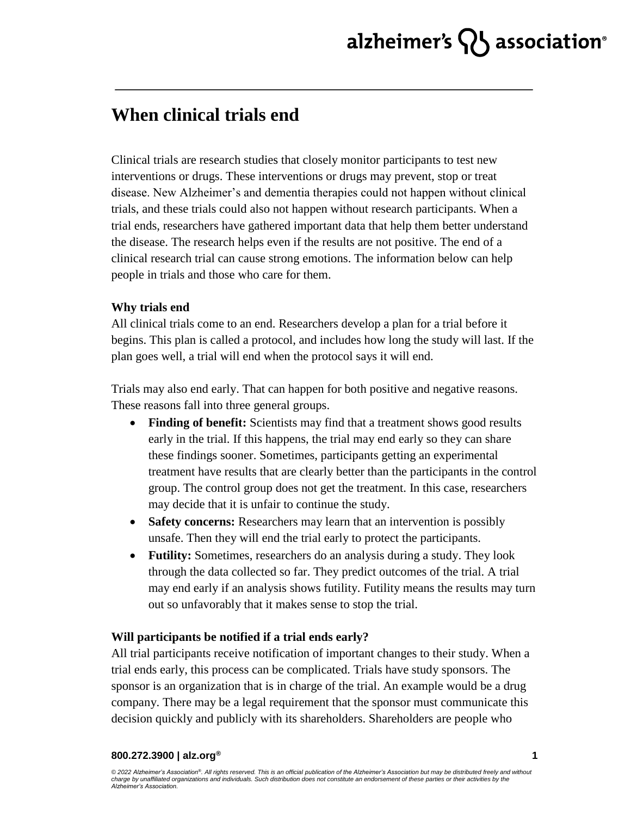# alzheimer's  $\{ \}$  association<sup>®</sup>

### **When clinical trials end**

Clinical trials are research studies that closely monitor participants to test new interventions or drugs. These interventions or drugs may prevent, stop or treat disease. New Alzheimer's and dementia therapies could not happen without clinical trials, and these trials could also not happen without research participants. When a trial ends, researchers have gathered important data that help them better understand the disease. The research helps even if the results are not positive. The end of a clinical research trial can cause strong emotions. The information below can help people in trials and those who care for them.

### **Why trials end**

All clinical trials come to an end. Researchers develop a plan for a trial before it begins. This plan is called a protocol, and includes how long the study will last. If the plan goes well, a trial will end when the protocol says it will end.

Trials may also end early. That can happen for both positive and negative reasons. These reasons fall into three general groups.

- Finding of benefit: Scientists may find that a treatment shows good results early in the trial. If this happens, the trial may end early so they can share these findings sooner. Sometimes, participants getting an experimental treatment have results that are clearly better than the participants in the control group. The control group does not get the treatment. In this case, researchers may decide that it is unfair to continue the study.
- **Safety concerns:** Researchers may learn that an intervention is possibly unsafe. Then they will end the trial early to protect the participants.
- **Futility:** Sometimes, researchers do an analysis during a study. They look through the data collected so far. They predict outcomes of the trial. A trial may end early if an analysis shows futility. Futility means the results may turn out so unfavorably that it makes sense to stop the trial.

### **Will participants be notified if a trial ends early?**

All trial participants receive notification of important changes to their study. When a trial ends early, this process can be complicated. Trials have study sponsors. The sponsor is an organization that is in charge of the trial. An example would be a drug company. There may be a legal requirement that the sponsor must communicate this decision quickly and publicly with its shareholders. Shareholders are people who

#### **800.272.3900 | alz.org®**

*© 2022 Alzheimer's Association® . All rights reserved. This is an official publication of the Alzheimer's Association but may be distributed freely and without charge by unaffiliated organizations and individuals. Such distribution does not constitute an endorsement of these parties or their activities by the Alzheimer's Association.*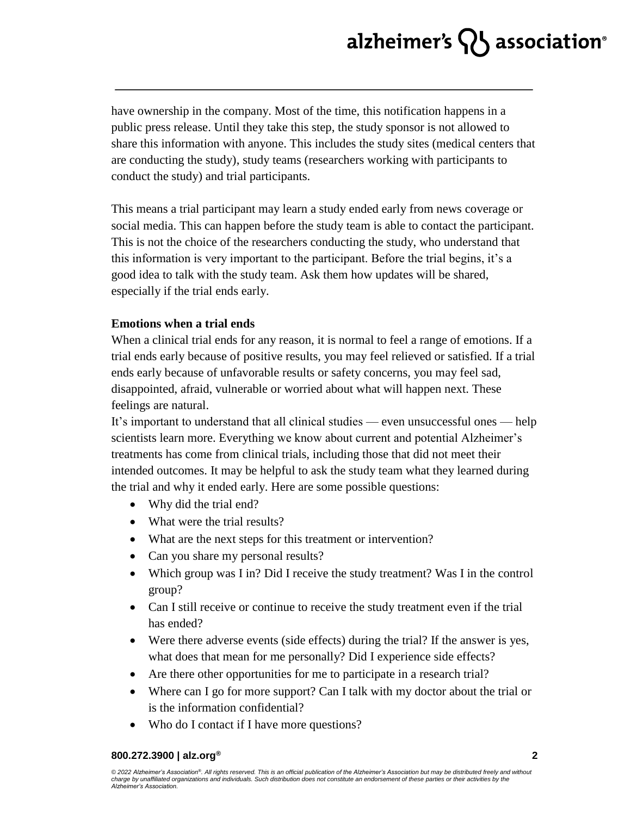# alzheimer's  $\{ \}$  association<sup>®</sup>

have ownership in the company. Most of the time, this notification happens in a public press release. Until they take this step, the study sponsor is not allowed to share this information with anyone. This includes the study sites (medical centers that are conducting the study), study teams (researchers working with participants to conduct the study) and trial participants.

This means a trial participant may learn a study ended early from news coverage or social media. This can happen before the study team is able to contact the participant. This is not the choice of the researchers conducting the study, who understand that this information is very important to the participant. Before the trial begins, it's a good idea to talk with the study team. Ask them how updates will be shared, especially if the trial ends early.

### **Emotions when a trial ends**

When a clinical trial ends for any reason, it is normal to feel a range of emotions. If a trial ends early because of positive results, you may feel relieved or satisfied. If a trial ends early because of unfavorable results or safety concerns, you may feel sad, disappointed, afraid, vulnerable or worried about what will happen next. These feelings are natural.

It's important to understand that all clinical studies — even unsuccessful ones — help scientists learn more. Everything we know about current and potential Alzheimer's treatments has come from clinical trials, including those that did not meet their intended outcomes. It may be helpful to ask the study team what they learned during the trial and why it ended early. Here are some possible questions:

- Why did the trial end?
- What were the trial results?
- What are the next steps for this treatment or intervention?
- Can you share my personal results?
- Which group was I in? Did I receive the study treatment? Was I in the control group?
- Can I still receive or continue to receive the study treatment even if the trial has ended?
- Were there adverse events (side effects) during the trial? If the answer is yes, what does that mean for me personally? Did I experience side effects?
- Are there other opportunities for me to participate in a research trial?
- Where can I go for more support? Can I talk with my doctor about the trial or is the information confidential?
- Who do I contact if I have more questions?

#### **800.272.3900 | alz.org®**